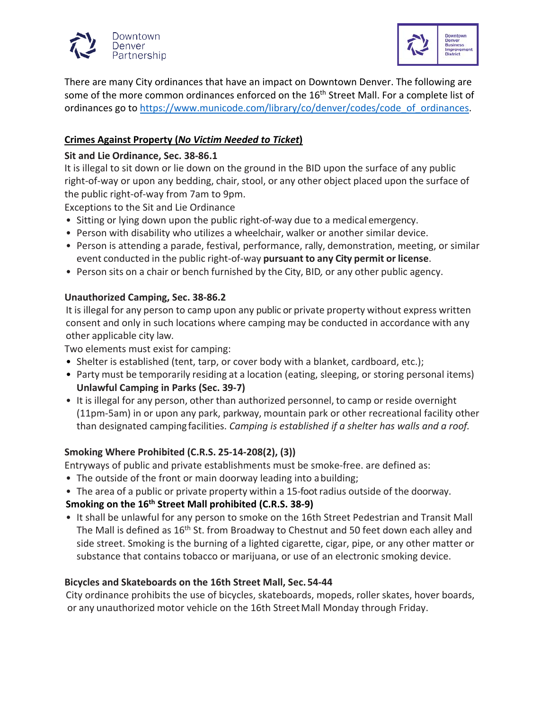



There are many City ordinances that have an impact on Downtown Denver. The following are some of the more common ordinances enforced on the 16<sup>th</sup> Street Mall. For a complete list of ordinances go to [https://www.municode.com/library/co/denver/codes/code\\_of\\_ordinances.](https://www.municode.com/library/co/denver/codes/code_of_ordinances)

### **Crimes Against Property (***No Victim Needed to Ticket***)**

### **Sit and Lie Ordinance, Sec. 38-86.1**

It is illegal to sit down or lie down on the ground in the BID upon the surface of any public right-of-way or upon any bedding, chair, stool, or any other object placed upon the surface of the public right-of-way from 7am to 9pm.

Exceptions to the Sit and Lie Ordinance

- Sitting or lying down upon the public right-of-way due to a medical emergency.
- Person with disability who utilizes a wheelchair, walker or another similar device.
- Person is attending a parade, festival, performance, rally, demonstration, meeting, or similar event conducted in the public right-of-way **pursuant to any City permit or license**.
- Person sits on a chair or bench furnished by the City, BID*,* or any other public agency.

### **Unauthorized Camping, Sec. 38-86.2**

It is illegal for any person to camp upon any public or private property without express written consent and only in such locations where camping may be conducted in accordance with any other applicable city law.

Two elements must exist for camping:

- Shelter is established (tent, tarp, or cover body with a blanket, cardboard, etc.);
- Party must be temporarily residing at a location (eating, sleeping, or storing personal items) **Unlawful Camping in Parks (Sec. 39-7)**
- It is illegal for any person, other than authorized personnel, to camp or reside overnight (11pm-5am) in or upon any park, parkway, mountain park or other recreational facility other than designated camping facilities. *Camping is established if a shelter has walls and a roof.*

### **Smoking Where Prohibited (C.R.S. 25-14-208(2), (3))**

Entryways of public and private establishments must be smoke-free. are defined as:

- The outside of the front or main doorway leading into a building;
- The area of a public or private property within a 15-foot radius outside of the doorway.

### **Smoking on the 16th Street Mall prohibited (C.R.S. 38-9)**

• It shall be unlawful for any person to smoke on the 16th Street Pedestrian and Transit Mall The Mall is defined as 16<sup>th</sup> St. from Broadway to Chestnut and 50 feet down each alley and side street. Smoking is the burning of a lighted cigarette, cigar, pipe, or any other matter or substance that contains tobacco or marijuana, or use of an electronic smoking device.

### **Bicycles and Skateboards on the 16th Street Mall, Sec. 54-44**

City ordinance prohibits the use of bicycles, skateboards, mopeds, roller skates, hover boards, or any unauthorized motor vehicle on the 16th Street Mall Monday through Friday.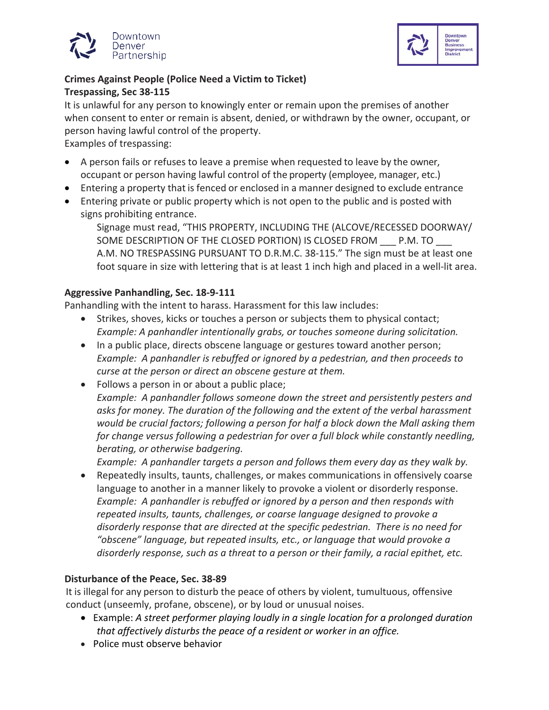



### **Crimes Against People (Police Need a Victim to Ticket) Trespassing, Sec 38-115**

It is unlawful for any person to knowingly enter or remain upon the premises of another when consent to enter or remain is absent, denied, or withdrawn by the owner, occupant, or person having lawful control of the property.

Examples of trespassing:

- A person fails or refuses to leave a premise when requested to leave by the owner, occupant or person having lawful control of the property (employee, manager, etc.)
- Entering a property that is fenced or enclosed in a manner designed to exclude entrance
- Entering private or public property which is not open to the public and is posted with signs prohibiting entrance.

Signage must read, "THIS PROPERTY, INCLUDING THE (ALCOVE/RECESSED DOORWAY/ SOME DESCRIPTION OF THE CLOSED PORTION) IS CLOSED FROM \_\_\_ P.M. TO \_\_\_ A.M. NO TRESPASSING PURSUANT TO D.R.M.C. 38-115." The sign must be at least one foot square in size with lettering that is at least 1 inch high and placed in a well-lit area.

### **Aggressive Panhandling, Sec. 18-9-111**

Panhandling with the intent to harass. Harassment for this law includes:

- Strikes, shoves, kicks or touches a person or subjects them to physical contact; *Example: A panhandler intentionally grabs, or touches someone during solicitation.*
- In a public place, directs obscene language or gestures toward another person; *Example: A panhandler is rebuffed or ignored by a pedestrian, and then proceeds to curse at the person or direct an obscene gesture at them.*
- Follows a person in or about a public place; *Example: A panhandler follows someone down the street and persistently pesters and asks for money. The duration of the following and the extent of the verbal harassment would be crucial factors; following a person for half a block down the Mall asking them for change versus following a pedestrian for over a full block while constantly needling, berating, or otherwise badgering.*

*Example: A panhandler targets a person and follows them every day as they walk by.*

• Repeatedly insults, taunts, challenges, or makes communications in offensively coarse language to another in a manner likely to provoke a violent or disorderly response. *Example: A panhandler is rebuffed or ignored by a person and then responds with repeated insults, taunts, challenges, or coarse language designed to provoke a disorderly response that are directed at the specific pedestrian. There is no need for "obscene" language, but repeated insults, etc., or language that would provoke a disorderly response, such as a threat to a person or their family, a racial epithet, etc.*

### **Disturbance of the Peace, Sec. 38-89**

It is illegal for any person to disturb the peace of others by violent, tumultuous, offensive conduct (unseemly, profane, obscene), or by loud or unusual noises.

- Example: *A street performer playing loudly in a single location for a prolonged duration that affectively disturbs the peace of a resident or worker in an office.*
- Police must observe behavior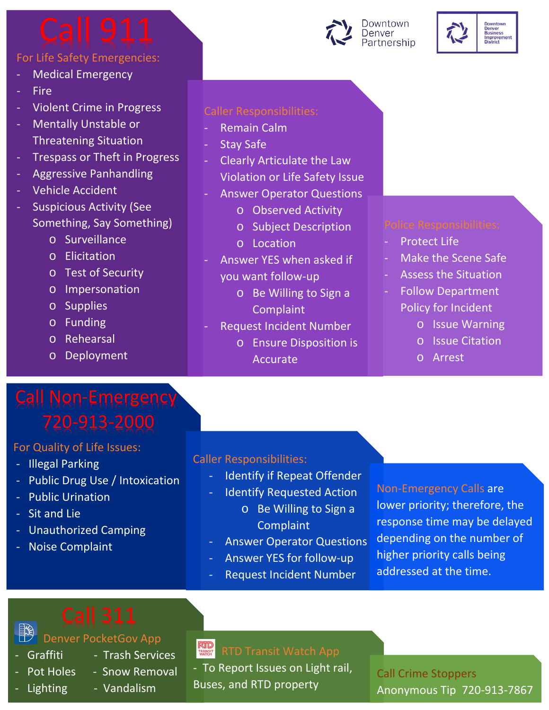## For Life Safety Emergencies:

- Medical Emergency
- **Fire**
- Violent Crime in Progress
- Mentally Unstable or Threatening Situation
- Trespass or Theft in Progress
- Aggressive Panhandling
- Vehicle Accident
- Suspicious Activity (See Something, Say Something)
	- o Surveillance
	- o Elicitation
	- o Test of Security
	- o Impersonation
	- o Supplies
	- o Funding
	- o Rehearsal
	- o Deployment

# Call Non-Emergency

### For Quality of Life Issues:

- Illegal Parking
- Public Drug Use / Intoxication
- Public Urination
- Sit and Lie
- Unauthorized Camping
- Noise Complaint

### Caller Responsibilities:

- **Remain Calm**
- **Stay Safe**
- Clearly Articulate the Law Violation or Life Safety Issue
- Answer Operator Questions
	- o Observed Activity
	- o Subject Description
	- o Location
- Answer YES when asked if you want follow-up
	- o Be Willing to Sign a **Complaint**
	- **Request Incident Number** 
		- o Ensure Disposition is Accurate

- Protect Life
- Make the Scene Safe
- Assess the Situation
- Follow Department Policy for Incident
	- o Issue Warning
	- o Issue Citation
	- o Arrest

### Caller Responsibilities:

- Identify if Repeat Offender
- Identify Requested Action
	- o Be Willing to Sign a **Complaint**
- Answer Operator Questions
- Answer YES for follow-up
- Request Incident Number

Non-Emergency Calls are lower priority; therefore, the response time may be delayed depending on the number of higher priority calls being addressed at the time.

Denver PocketGov App

- 
- 
- 
- Lighting Vandalism
- Graffiti Trash Services
- Pot Holes Snow Removal
	-

**RUD**<br>TRANSIT - To Report Issues on Light rail, Buses, and RTD property

Call Crime Stoppers Anonymous Tip 720-913-7867

# Downtown Denver<br>Partnership

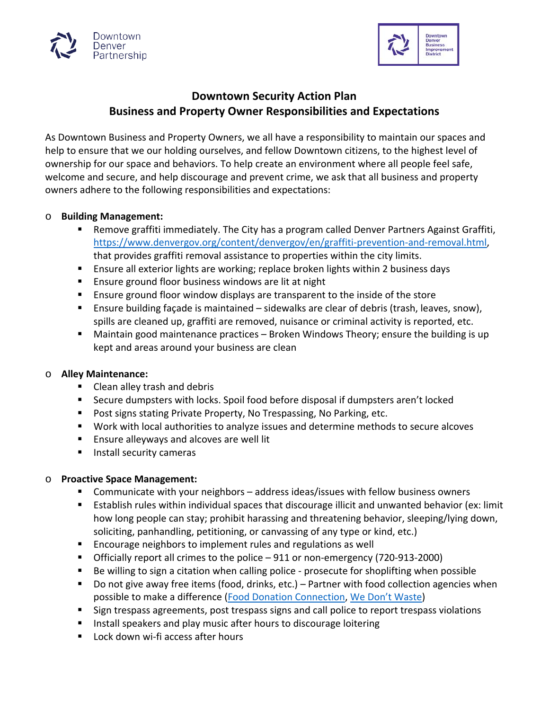



### **Downtown Security Action Plan Business and Property Owner Responsibilities and Expectations**

As Downtown Business and Property Owners, we all have a responsibility to maintain our spaces and help to ensure that we our holding ourselves, and fellow Downtown citizens, to the highest level of ownership for our space and behaviors. To help create an environment where all people feel safe, welcome and secure, and help discourage and prevent crime, we ask that all business and property owners adhere to the following responsibilities and expectations:

### o **Building Management:**

- Remove graffiti immediately. The City has a program called Denver Partners Against Graffiti, [https://www.denvergov.org/content/denvergov/en/graffiti-prevention-and-removal.html,](https://www.denvergov.org/content/denvergov/en/graffiti-prevention-and-removal.html) that provides graffiti removal assistance to properties within the city limits.
- Ensure all exterior lights are working; replace broken lights within 2 business days
- **E** Ensure ground floor business windows are lit at night
- Ensure ground floor window displays are transparent to the inside of the store
- Ensure building façade is maintained sidewalks are clear of debris (trash, leaves, snow), spills are cleaned up, graffiti are removed, nuisance or criminal activity is reported, etc.
- Maintain good maintenance practices Broken Windows Theory; ensure the building is up kept and areas around your business are clean

### o **Alley Maintenance:**

- Clean alley trash and debris
- Secure dumpsters with locks. Spoil food before disposal if dumpsters aren't locked
- **Post signs stating Private Property, No Trespassing, No Parking, etc.**
- Work with local authorities to analyze issues and determine methods to secure alcoves
- **Ensure alleyways and alcoves are well lit**
- **Install security cameras**

### o **Proactive Space Management:**

- Communicate with your neighbors address ideas/issues with fellow business owners
- Establish rules within individual spaces that discourage illicit and unwanted behavior (ex: limit how long people can stay; prohibit harassing and threatening behavior, sleeping/lying down, soliciting, panhandling, petitioning, or canvassing of any type or kind, etc.)
- Encourage neighbors to implement rules and regulations as well
- Officially report all crimes to the police 911 or non-emergency (720-913-2000)
- Be willing to sign a citation when calling police prosecute for shoplifting when possible
- Do not give away free items (food, drinks, etc.) Partner with food collection agencies when possible to make a difference [\(Food Donation Connection,](http://www.foodtodonate.com/) [We Don't Waste\)](https://www.wedontwaste.org/)
- **Sign trespass agreements, post trespass signs and call police to report trespass violations**
- **IF Install speakers and play music after hours to discourage loitering**
- Lock down wi-fi access after hours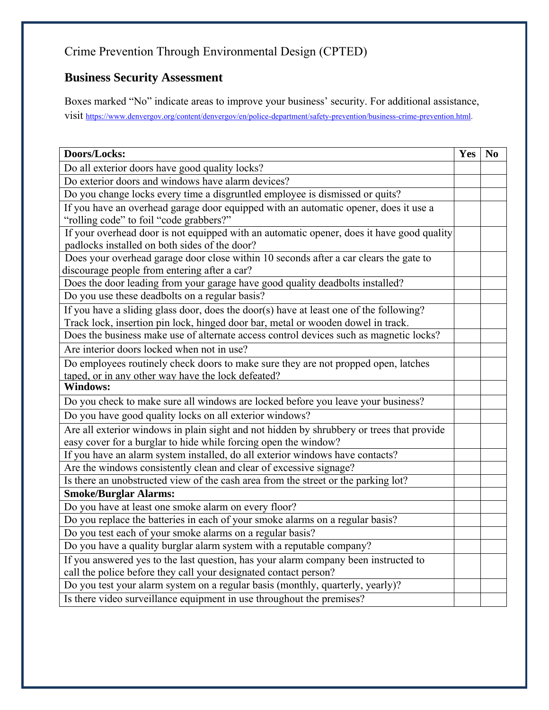### Crime Prevention Through Environmental Design (CPTED)

### **Business Security Assessment**

Boxes marked "No" indicate areas to improve your business' security. For additional assistance, visit [https://www.denvergov.org/content/denvergov/en/police-department/safety-prevention/business-crime-prevention.html.](https://www.denvergov.org/content/denvergov/en/police-department/safety-prevention/business-crime-prevention.html)

| Doors/Locks:                                                                              | Yes | N <sub>0</sub> |
|-------------------------------------------------------------------------------------------|-----|----------------|
| Do all exterior doors have good quality locks?                                            |     |                |
| Do exterior doors and windows have alarm devices?                                         |     |                |
| Do you change locks every time a disgruntled employee is dismissed or quits?              |     |                |
| If you have an overhead garage door equipped with an automatic opener, does it use a      |     |                |
| "rolling code" to foil "code grabbers?"                                                   |     |                |
| If your overhead door is not equipped with an automatic opener, does it have good quality |     |                |
| padlocks installed on both sides of the door?                                             |     |                |
| Does your overhead garage door close within 10 seconds after a car clears the gate to     |     |                |
| discourage people from entering after a car?                                              |     |                |
| Does the door leading from your garage have good quality deadbolts installed?             |     |                |
| Do you use these deadbolts on a regular basis?                                            |     |                |
| If you have a sliding glass door, does the door(s) have at least one of the following?    |     |                |
| Track lock, insertion pin lock, hinged door bar, metal or wooden dowel in track.          |     |                |
| Does the business make use of alternate access control devices such as magnetic locks?    |     |                |
| Are interior doors locked when not in use?                                                |     |                |
| Do employees routinely check doors to make sure they are not propped open, latches        |     |                |
| taped, or in any other way have the lock defeated?                                        |     |                |
| <b>Windows:</b>                                                                           |     |                |
| Do you check to make sure all windows are locked before you leave your business?          |     |                |
| Do you have good quality locks on all exterior windows?                                   |     |                |
| Are all exterior windows in plain sight and not hidden by shrubbery or trees that provide |     |                |
| easy cover for a burglar to hide while forcing open the window?                           |     |                |
| If you have an alarm system installed, do all exterior windows have contacts?             |     |                |
| Are the windows consistently clean and clear of excessive signage?                        |     |                |
| Is there an unobstructed view of the cash area from the street or the parking lot?        |     |                |
| <b>Smoke/Burglar Alarms:</b>                                                              |     |                |
| Do you have at least one smoke alarm on every floor?                                      |     |                |
| Do you replace the batteries in each of your smoke alarms on a regular basis?             |     |                |
| Do you test each of your smoke alarms on a regular basis?                                 |     |                |
| Do you have a quality burglar alarm system with a reputable company?                      |     |                |
| If you answered yes to the last question, has your alarm company been instructed to       |     |                |
| call the police before they call your designated contact person?                          |     |                |
| Do you test your alarm system on a regular basis (monthly, quarterly, yearly)?            |     |                |
| Is there video surveillance equipment in use throughout the premises?                     |     |                |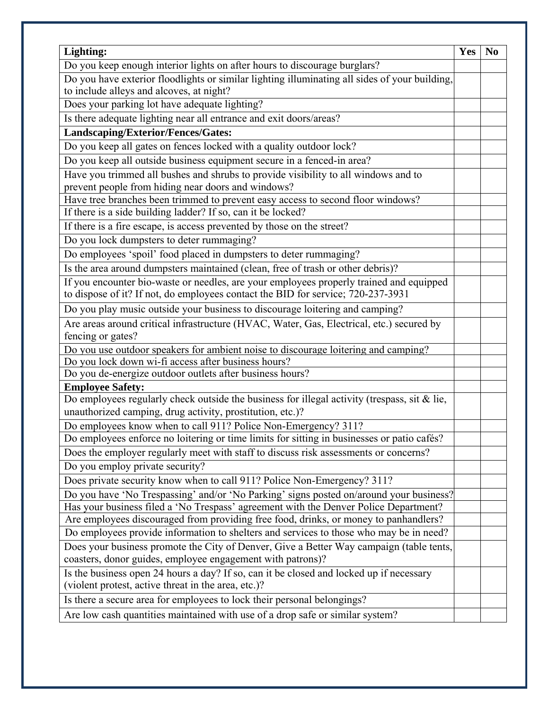| Lighting:                                                                                                                                             | <b>Yes</b> | N <sub>0</sub> |
|-------------------------------------------------------------------------------------------------------------------------------------------------------|------------|----------------|
| Do you keep enough interior lights on after hours to discourage burglars?                                                                             |            |                |
| Do you have exterior floodlights or similar lighting illuminating all sides of your building,                                                         |            |                |
| to include alleys and alcoves, at night?                                                                                                              |            |                |
| Does your parking lot have adequate lighting?                                                                                                         |            |                |
| Is there adequate lighting near all entrance and exit doors/areas?                                                                                    |            |                |
| Landscaping/Exterior/Fences/Gates:                                                                                                                    |            |                |
| Do you keep all gates on fences locked with a quality outdoor lock?                                                                                   |            |                |
| Do you keep all outside business equipment secure in a fenced-in area?                                                                                |            |                |
| Have you trimmed all bushes and shrubs to provide visibility to all windows and to                                                                    |            |                |
| prevent people from hiding near doors and windows?                                                                                                    |            |                |
| Have tree branches been trimmed to prevent easy access to second floor windows?                                                                       |            |                |
| If there is a side building ladder? If so, can it be locked?                                                                                          |            |                |
| If there is a fire escape, is access prevented by those on the street?                                                                                |            |                |
| Do you lock dumpsters to deter rummaging?                                                                                                             |            |                |
| Do employees 'spoil' food placed in dumpsters to deter rummaging?                                                                                     |            |                |
| Is the area around dumpsters maintained (clean, free of trash or other debris)?                                                                       |            |                |
| If you encounter bio-waste or needles, are your employees properly trained and equipped                                                               |            |                |
| to dispose of it? If not, do employees contact the BID for service; 720-237-3931                                                                      |            |                |
| Do you play music outside your business to discourage loitering and camping?                                                                          |            |                |
| Are areas around critical infrastructure (HVAC, Water, Gas, Electrical, etc.) secured by                                                              |            |                |
| fencing or gates?                                                                                                                                     |            |                |
| Do you use outdoor speakers for ambient noise to discourage loitering and camping?                                                                    |            |                |
| Do you lock down wi-fi access after business hours?                                                                                                   |            |                |
| Do you de-energize outdoor outlets after business hours?                                                                                              |            |                |
| <b>Employee Safety:</b>                                                                                                                               |            |                |
| Do employees regularly check outside the business for illegal activity (trespass, sit $\&$ lie,                                                       |            |                |
| unauthorized camping, drug activity, prostitution, etc.)?                                                                                             |            |                |
| Do employees know when to call 911? Police Non-Emergency? 311?                                                                                        |            |                |
| Do employees enforce no loitering or time limits for sitting in businesses or patio cafés?                                                            |            |                |
| Does the employer regularly meet with staff to discuss risk assessments or concerns?                                                                  |            |                |
| Do you employ private security?                                                                                                                       |            |                |
| Does private security know when to call 911? Police Non-Emergency? 311?                                                                               |            |                |
| Do you have 'No Trespassing' and/or 'No Parking' signs posted on/around your business?                                                                |            |                |
| Has your business filed a 'No Trespass' agreement with the Denver Police Department?                                                                  |            |                |
| Are employees discouraged from providing free food, drinks, or money to panhandlers?                                                                  |            |                |
| Do employees provide information to shelters and services to those who may be in need?                                                                |            |                |
| Does your business promote the City of Denver, Give a Better Way campaign (table tents,<br>coasters, donor guides, employee engagement with patrons)? |            |                |
| Is the business open 24 hours a day? If so, can it be closed and locked up if necessary                                                               |            |                |
| (violent protest, active threat in the area, etc.)?                                                                                                   |            |                |
|                                                                                                                                                       |            |                |
| Is there a secure area for employees to lock their personal belongings?                                                                               |            |                |
| Are low cash quantities maintained with use of a drop safe or similar system?                                                                         |            |                |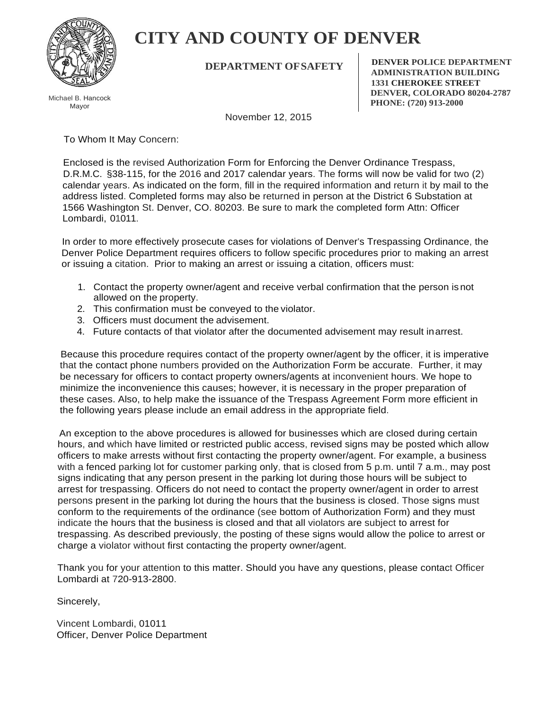

# **CITY AND COUNTY OF DENVER**

**DEPARTMENT OFSAFETY**

Michael B. Hancock Mayor

**DENVER POLICE DEPARTMENT ADMINISTRATION BUILDING 1331 CHEROKEE STREET DENVER, COLORADO 80204-2787 PHONE: (720) 913-2000**

November 12, 2015

To Whom It May Concern:

Enclosed is the revised Authorization Form for Enforcing the Denver Ordinance Trespass, D.R.M.C. §38-115, for the 2016 and 2017 calendar years. The forms will now be valid for two (2) calendar years. As indicated on the form, fill in the required information and return it by mail to the address listed. Completed forms may also be returned in person at the District 6 Substation at 1566 Washington St. Denver, CO. 80203. Be sure to mark the completed form Attn: Officer Lombardi, 01011.

In order to more effectively prosecute cases for violations of Denver's Trespassing Ordinance, the Denver Police Department requires officers to follow specific procedures prior to making an arrest or issuing a citation. Prior to making an arrest or issuing a citation, officers must:

- 1. Contact the property owner/agent and receive verbal confirmation that the person is not allowed on the property.
- 2. This confirmation must be conveyed to the violator.
- 3. Officers must document the advisement.
- 4. Future contacts of that violator after the documented advisement may result inarrest.

Because this procedure requires contact of the property owner/agent by the officer, it is imperative that the contact phone numbers provided on the Authorization Form be accurate. Further, it may be necessary for officers to contact property owners/agents at inconvenient hours. We hope to minimize the inconvenience this causes; however, it is necessary in the proper preparation of these cases. Also, to help make the issuance of the Trespass Agreement Form more efficient in the following years please include an email address in the appropriate field.

An exception to the above procedures is allowed for businesses which are closed during certain hours, and which have limited or restricted public access, revised signs may be posted which allow officers to make arrests without first contacting the property owner/agent. For example, a business with a fenced parking lot for customer parking only, that is closed from 5 p.m. until 7 a.m., may post signs indicating that any person present in the parking lot during those hours will be subject to arrest for trespassing. Officers do not need to contact the property owner/agent in order to arrest persons present in the parking lot during the hours that the business is closed. Those signs must conform to the requirements of the ordinance (see bottom of Authorization Form) and they must indicate the hours that the business is closed and that all violators are subject to arrest for trespassing. As described previously, the posting of these signs would allow the police to arrest or charge a violator without first contacting the property owner/agent.

Thank you for your attention to this matter. Should you have any questions, please contact Officer Lombardi at 720-913-2800.

Sincerely,

Vincent Lombardi, 01011 Officer, Denver Police Department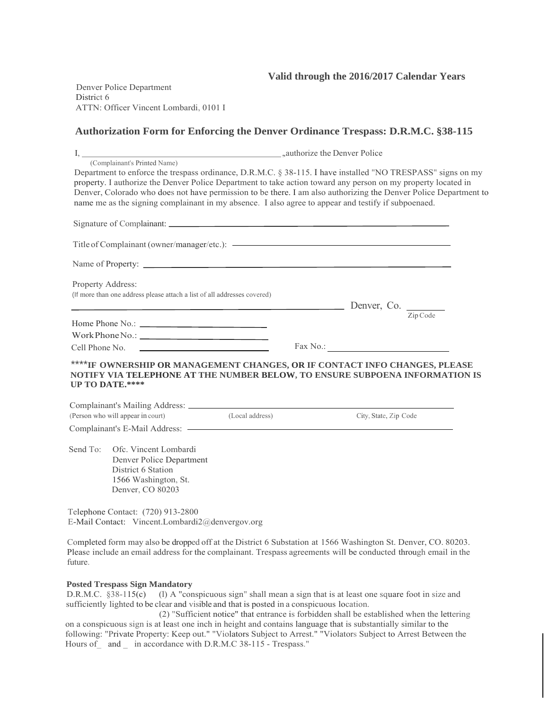### **Valid through the 2016/2017 Calendar Years**

Denver Police Department District 6 ATTN: Officer Vincent Lombardi, 0101 I

### **Authorization Form for Enforcing the Denver Ordinance Trespass: D.R.M.C. §38-115**

|                   | (Complainant's Printed Name)                                                                                        |                 |                                                                                                                                                                                                                                                                                                                                                                                                                                                         |  |  |  |
|-------------------|---------------------------------------------------------------------------------------------------------------------|-----------------|---------------------------------------------------------------------------------------------------------------------------------------------------------------------------------------------------------------------------------------------------------------------------------------------------------------------------------------------------------------------------------------------------------------------------------------------------------|--|--|--|
|                   |                                                                                                                     |                 | Department to enforce the trespass ordinance, D.R.M.C. § 38-115. I have installed "NO TRESPASS" signs on my<br>property. I authorize the Denver Police Department to take action toward any person on my property located in<br>Denver, Colorado who does not have permission to be there. I am also authorizing the Denver Police Department to<br>name me as the signing complainant in my absence. I also agree to appear and testify if subpoenaed. |  |  |  |
|                   |                                                                                                                     |                 |                                                                                                                                                                                                                                                                                                                                                                                                                                                         |  |  |  |
|                   |                                                                                                                     |                 | Title of Complainant (owner/manager/etc.): <a></a>                                                                                                                                                                                                                                                                                                                                                                                                      |  |  |  |
|                   |                                                                                                                     |                 | Name of Property: Name of Property:                                                                                                                                                                                                                                                                                                                                                                                                                     |  |  |  |
| Property Address: | (If more than one address please attach a list of all addresses covered)                                            |                 | $Denver, Co.$ $\frac{1}{\text{Zip Code}}$                                                                                                                                                                                                                                                                                                                                                                                                               |  |  |  |
|                   |                                                                                                                     |                 |                                                                                                                                                                                                                                                                                                                                                                                                                                                         |  |  |  |
|                   |                                                                                                                     |                 |                                                                                                                                                                                                                                                                                                                                                                                                                                                         |  |  |  |
|                   |                                                                                                                     |                 |                                                                                                                                                                                                                                                                                                                                                                                                                                                         |  |  |  |
|                   | UP TO DATE.****                                                                                                     |                 | ****IF OWNERSHIP OR MANAGEMENT CHANGES, OR IF CONTACT INFO CHANGES, PLEASE<br>NOTIFY VIA TELEPHONE AT THE NUMBER BELOW, TO ENSURE SUBPOENA INFORMATION IS                                                                                                                                                                                                                                                                                               |  |  |  |
|                   | (Person who will appear in court)                                                                                   | (Local address) | City, State, Zip Code                                                                                                                                                                                                                                                                                                                                                                                                                                   |  |  |  |
|                   |                                                                                                                     |                 |                                                                                                                                                                                                                                                                                                                                                                                                                                                         |  |  |  |
| Send To:          | Ofc. Vincent Lombardi<br>Denver Police Department<br>District 6 Station<br>1566 Washington, St.<br>Denver, CO 80203 |                 |                                                                                                                                                                                                                                                                                                                                                                                                                                                         |  |  |  |
|                   | Telephone Contact: (720) 913-2800<br>E-Mail Contact: Vincent.Lombardi2@denvergov.org                                |                 |                                                                                                                                                                                                                                                                                                                                                                                                                                                         |  |  |  |

Completed form may also be dropped off at the District 6 Substation at 1566 Washington St. Denver, CO. 80203. Please include an email address for the complainant. Trespass agreements will be conducted through email in the future.

### **Posted Trespass Sign Mandatory**

D.R.M.C. §38-115(c) (l) A "conspicuous sign" shall mean a sign that is at least one square foot in size and sufficiently lighted to be clear and visible and that is posted in a conspicuous location.

(2) "Sufficient notice" that entrance is forbidden shall be established when the lettering on a conspicuous sign is at least one inch in height and contains language that is substantially similar to the following: "Private Property: Keep out." "Violators Subject to Arrest." "Violators Subject to Arrest Between the Hours of and in accordance with D.R.M.C 38-115 - Trespass."